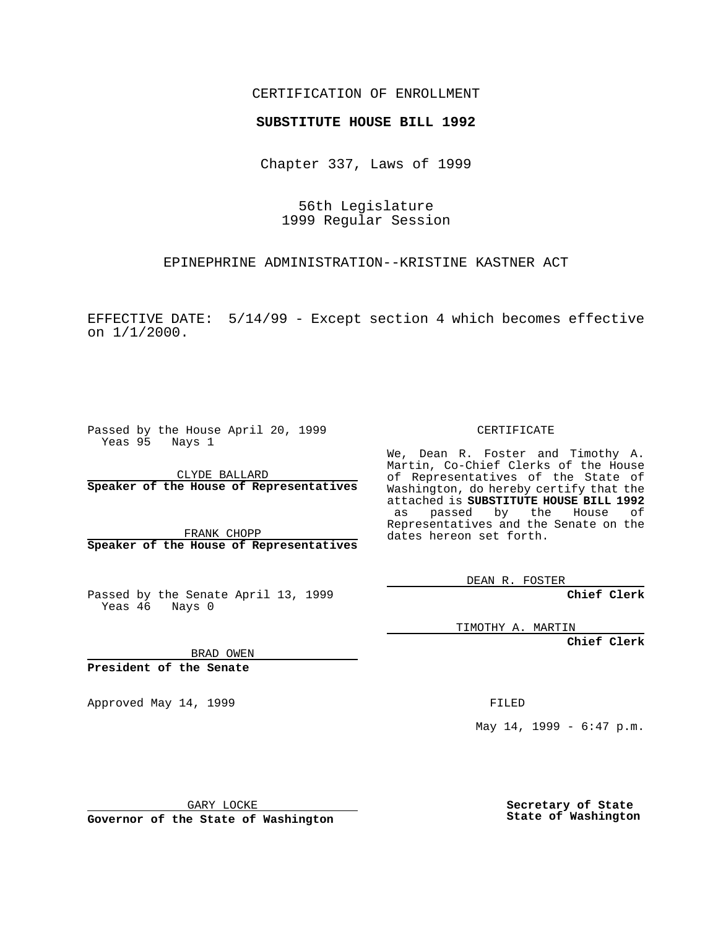### CERTIFICATION OF ENROLLMENT

## **SUBSTITUTE HOUSE BILL 1992**

Chapter 337, Laws of 1999

56th Legislature 1999 Regular Session

EPINEPHRINE ADMINISTRATION--KRISTINE KASTNER ACT

EFFECTIVE DATE: 5/14/99 - Except section 4 which becomes effective on 1/1/2000.

Passed by the House April 20, 1999 Yeas 95 Nays 1

CLYDE BALLARD **Speaker of the House of Representatives**

FRANK CHOPP **Speaker of the House of Representatives**

Passed by the Senate April 13, 1999 Yeas 46 Nays 0

CERTIFICATE

We, Dean R. Foster and Timothy A. Martin, Co-Chief Clerks of the House of Representatives of the State of Washington, do hereby certify that the attached is **SUBSTITUTE HOUSE BILL 1992** as passed by the House of Representatives and the Senate on the dates hereon set forth.

DEAN R. FOSTER

**Chief Clerk**

TIMOTHY A. MARTIN

**Chief Clerk**

BRAD OWEN

**President of the Senate**

Approved May 14, 1999 **FILED** 

May 14, 1999 - 6:47 p.m.

GARY LOCKE

**Governor of the State of Washington**

**Secretary of State State of Washington**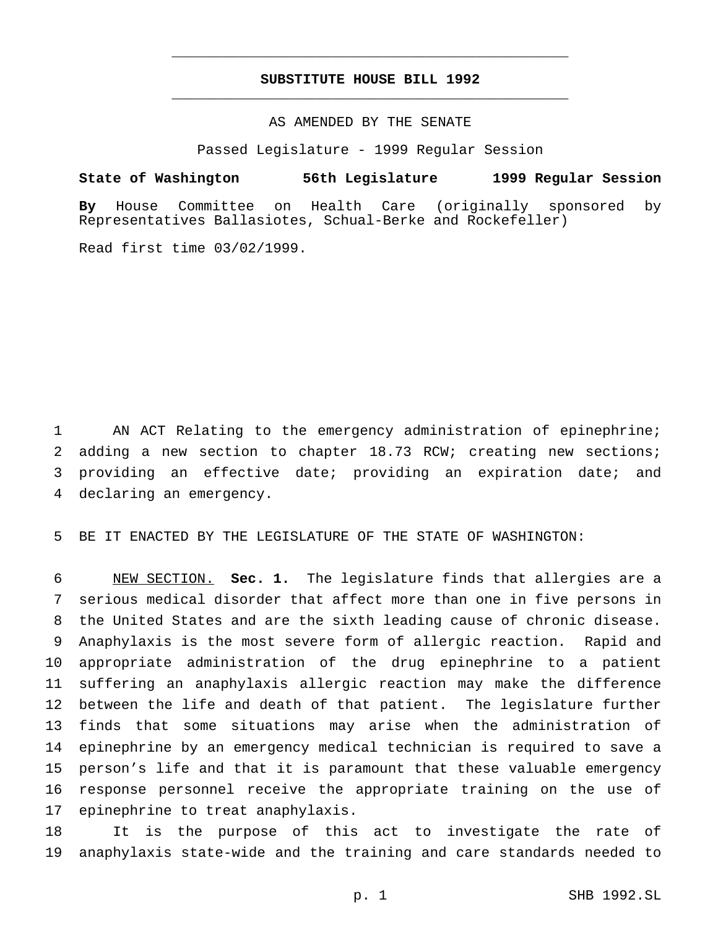# **SUBSTITUTE HOUSE BILL 1992** \_\_\_\_\_\_\_\_\_\_\_\_\_\_\_\_\_\_\_\_\_\_\_\_\_\_\_\_\_\_\_\_\_\_\_\_\_\_\_\_\_\_\_\_\_\_\_

\_\_\_\_\_\_\_\_\_\_\_\_\_\_\_\_\_\_\_\_\_\_\_\_\_\_\_\_\_\_\_\_\_\_\_\_\_\_\_\_\_\_\_\_\_\_\_

### AS AMENDED BY THE SENATE

Passed Legislature - 1999 Regular Session

### **State of Washington 56th Legislature 1999 Regular Session**

**By** House Committee on Health Care (originally sponsored by Representatives Ballasiotes, Schual-Berke and Rockefeller)

Read first time 03/02/1999.

 AN ACT Relating to the emergency administration of epinephrine; adding a new section to chapter 18.73 RCW; creating new sections; providing an effective date; providing an expiration date; and declaring an emergency.

BE IT ENACTED BY THE LEGISLATURE OF THE STATE OF WASHINGTON:

 NEW SECTION. **Sec. 1.** The legislature finds that allergies are a serious medical disorder that affect more than one in five persons in the United States and are the sixth leading cause of chronic disease. Anaphylaxis is the most severe form of allergic reaction. Rapid and appropriate administration of the drug epinephrine to a patient suffering an anaphylaxis allergic reaction may make the difference between the life and death of that patient. The legislature further finds that some situations may arise when the administration of epinephrine by an emergency medical technician is required to save a person's life and that it is paramount that these valuable emergency response personnel receive the appropriate training on the use of epinephrine to treat anaphylaxis.

 It is the purpose of this act to investigate the rate of anaphylaxis state-wide and the training and care standards needed to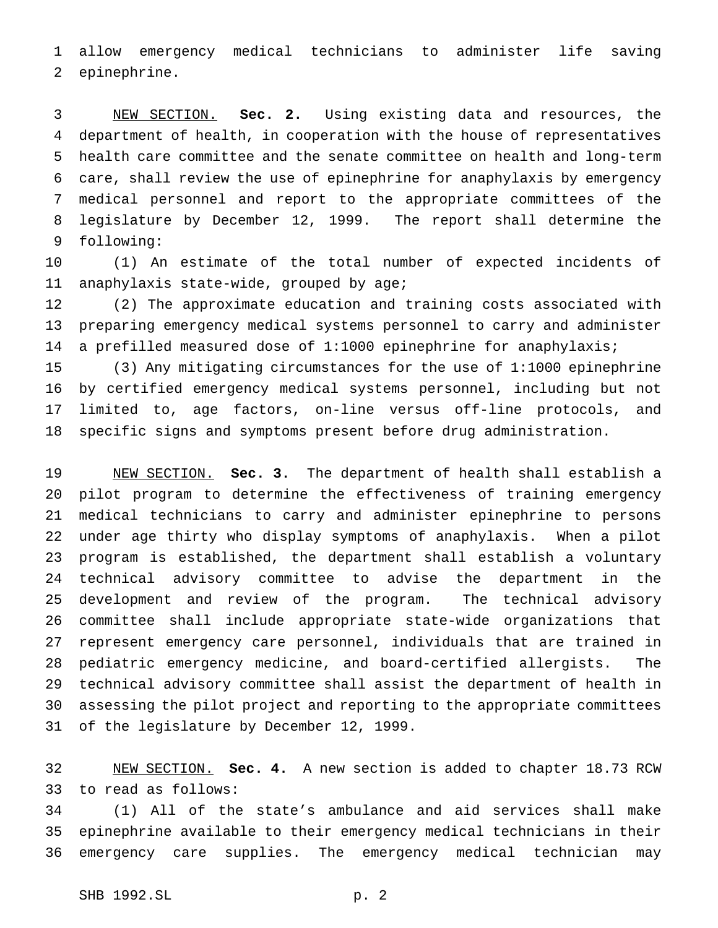allow emergency medical technicians to administer life saving epinephrine.

 NEW SECTION. **Sec. 2.** Using existing data and resources, the department of health, in cooperation with the house of representatives health care committee and the senate committee on health and long-term care, shall review the use of epinephrine for anaphylaxis by emergency medical personnel and report to the appropriate committees of the legislature by December 12, 1999. The report shall determine the following:

 (1) An estimate of the total number of expected incidents of anaphylaxis state-wide, grouped by age;

 (2) The approximate education and training costs associated with preparing emergency medical systems personnel to carry and administer a prefilled measured dose of 1:1000 epinephrine for anaphylaxis;

 (3) Any mitigating circumstances for the use of 1:1000 epinephrine by certified emergency medical systems personnel, including but not limited to, age factors, on-line versus off-line protocols, and specific signs and symptoms present before drug administration.

 NEW SECTION. **Sec. 3.** The department of health shall establish a pilot program to determine the effectiveness of training emergency medical technicians to carry and administer epinephrine to persons under age thirty who display symptoms of anaphylaxis. When a pilot program is established, the department shall establish a voluntary technical advisory committee to advise the department in the development and review of the program. The technical advisory committee shall include appropriate state-wide organizations that represent emergency care personnel, individuals that are trained in pediatric emergency medicine, and board-certified allergists. The technical advisory committee shall assist the department of health in assessing the pilot project and reporting to the appropriate committees of the legislature by December 12, 1999.

 NEW SECTION. **Sec. 4.** A new section is added to chapter 18.73 RCW to read as follows:

 (1) All of the state's ambulance and aid services shall make epinephrine available to their emergency medical technicians in their emergency care supplies. The emergency medical technician may